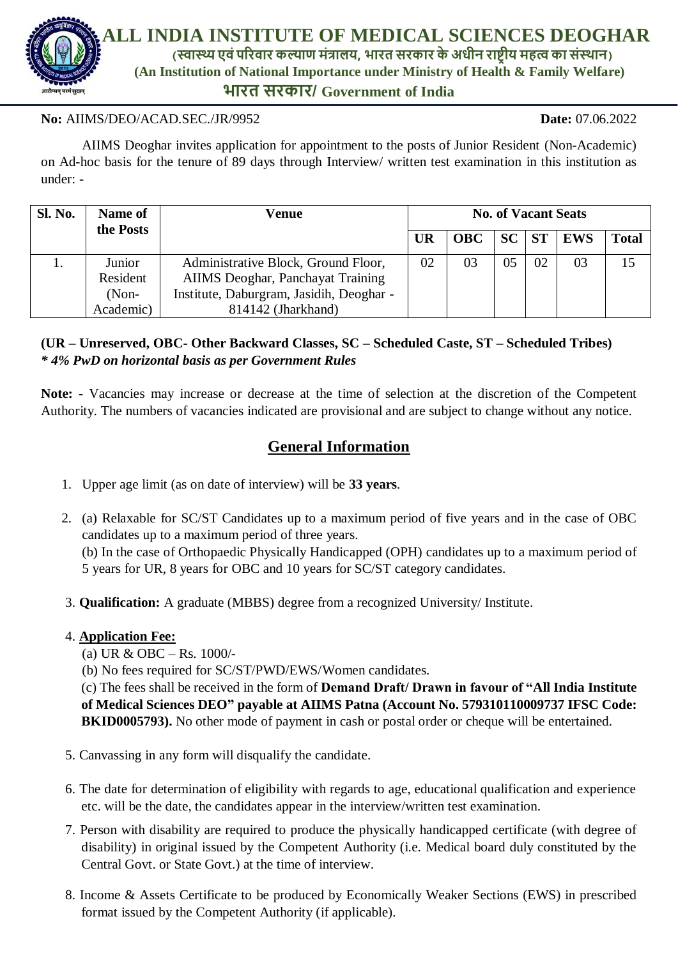

### **No:** AIIMS/DEO/ACAD.SEC./JR/9952 **Date:** 07.06.2022

AIIMS Deoghar invites application for appointment to the posts of Junior Resident (Non-Academic) on Ad-hoc basis for the tenure of 89 days through Interview/ written test examination in this institution as under: -

| <b>Sl. No.</b> | Name of   | Venue                                    |           | <b>No. of Vacant Seats</b> |    |           |            |              |  |
|----------------|-----------|------------------------------------------|-----------|----------------------------|----|-----------|------------|--------------|--|
|                | the Posts |                                          | <b>UR</b> | <b>OBC</b>                 | SC | <b>ST</b> | <b>EWS</b> | <b>Total</b> |  |
|                | Junior    | Administrative Block, Ground Floor,      | 02        | 03                         | 05 | 02        | 03         | 15           |  |
|                | Resident  | AIIMS Deoghar, Panchayat Training        |           |                            |    |           |            |              |  |
|                | $(Non-$   | Institute, Daburgram, Jasidih, Deoghar - |           |                            |    |           |            |              |  |
|                | Academic) | 814142 (Jharkhand)                       |           |                            |    |           |            |              |  |

# **(UR – Unreserved, OBC- Other Backward Classes, SC – Scheduled Caste, ST – Scheduled Tribes)**  *\* 4% PwD on horizontal basis as per Government Rules*

**Note: -** Vacancies may increase or decrease at the time of selection at the discretion of the Competent Authority. The numbers of vacancies indicated are provisional and are subject to change without any notice.

# **General Information**

- 1. Upper age limit (as on date of interview) will be **33 years**.
- 2. (a) Relaxable for SC/ST Candidates up to a maximum period of five years and in the case of OBC candidates up to a maximum period of three years.

(b) In the case of Orthopaedic Physically Handicapped (OPH) candidates up to a maximum period of 5 years for UR, 8 years for OBC and 10 years for SC/ST category candidates.

3. **Qualification:** A graduate (MBBS) degree from a recognized University/ Institute.

### 4. **Application Fee:**

(a) UR & OBC – Rs. 1000/-

(b) No fees required for SC/ST/PWD/EWS/Women candidates.

(c) The fees shall be received in the form of **Demand Draft/ Drawn in favour of "All India Institute of Medical Sciences DEO" payable at AIIMS Patna (Account No. 579310110009737 IFSC Code: BKID0005793).** No other mode of payment in cash or postal order or cheque will be entertained.

- 5. Canvassing in any form will disqualify the candidate.
- 6. The date for determination of eligibility with regards to age, educational qualification and experience etc. will be the date, the candidates appear in the interview/written test examination.
- 7. Person with disability are required to produce the physically handicapped certificate (with degree of disability) in original issued by the Competent Authority (i.e. Medical board duly constituted by the Central Govt. or State Govt.) at the time of interview.
- 8. Income & Assets Certificate to be produced by Economically Weaker Sections (EWS) in prescribed format issued by the Competent Authority (if applicable).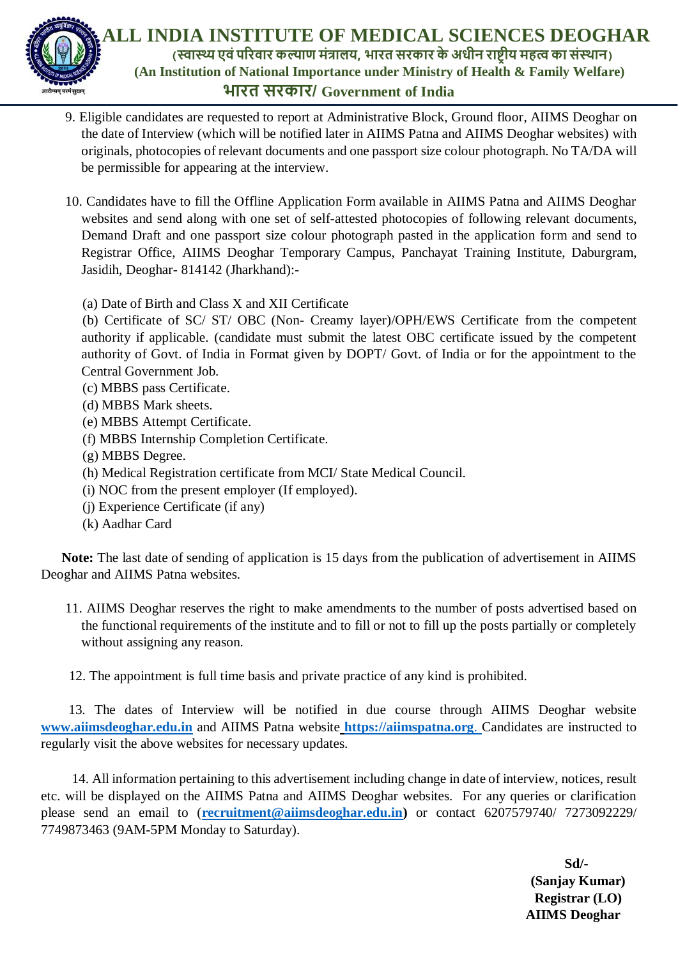

 **ALL INDIA INSTITUTE OF MEDICAL SCIENCES DEOGHAR (स्वास्थ्यएवंपरिवाि कल्याण मंत्रालय, भाित सिकाि के अधीन िाष्ट्रीय महत्व का संस्थान) (An Institution of National Importance under Ministry of Health & Family Welfare) भाित सिकाि/ Government of India**

- 9. Eligible candidates are requested to report at Administrative Block, Ground floor, AIIMS Deoghar on the date of Interview (which will be notified later in AIIMS Patna and AIIMS Deoghar websites) with originals, photocopies of relevant documents and one passport size colour photograph. No TA/DA will be permissible for appearing at the interview.
- 10. Candidates have to fill the Offline Application Form available in AIIMS Patna and AIIMS Deoghar websites and send along with one set of self-attested photocopies of following relevant documents, Demand Draft and one passport size colour photograph pasted in the application form and send to Registrar Office, AIIMS Deoghar Temporary Campus, Panchayat Training Institute, Daburgram, Jasidih, Deoghar- 814142 (Jharkhand):-
	- (a) Date of Birth and Class X and XII Certificate

 (b) Certificate of SC/ ST/ OBC (Non- Creamy layer)/OPH/EWS Certificate from the competent authority if applicable. (candidate must submit the latest OBC certificate issued by the competent authority of Govt. of India in Format given by DOPT/ Govt. of India or for the appointment to the Central Government Job.

- (c) MBBS pass Certificate.
- (d) MBBS Mark sheets.
- (e) MBBS Attempt Certificate.
- (f) MBBS Internship Completion Certificate.
- (g) MBBS Degree.
- (h) Medical Registration certificate from MCI/ State Medical Council.
- (i) NOC from the present employer (If employed).
- (j) Experience Certificate (if any)
- (k) Aadhar Card

 **Note:** The last date of sending of application is 15 days from the publication of advertisement in AIIMS Deoghar and AIIMS Patna websites.

11. AIIMS Deoghar reserves the right to make amendments to the number of posts advertised based on the functional requirements of the institute and to fill or not to fill up the posts partially or completely without assigning any reason.

12. The appointment is full time basis and private practice of any kind is prohibited.

 13. The dates of Interview will be notified in due course through AIIMS Deoghar website **[www.aiimsdeoghar.edu.in](http://www.aiimsdeoghar.edu.in/)** and AIIMS Patna website **[https://aiimspatna.org](https://aiimspatna.org/)**. Candidates are instructed to regularly visit the above websites for necessary updates.

 14. All information pertaining to this advertisement including change in date of interview, notices, result etc. will be displayed on the AIIMS Patna and AIIMS Deoghar websites. For any queries or clarification please send an email to (**[recruitment@aiimsdeoghar.edu.in\)](mailto:recruitment@aiimsdeoghar.edu.in)** or contact 6207579740/ 7273092229/ 7749873463 (9AM-5PM Monday to Saturday).

> **Sd/- (Sanjay Kumar) Registrar (LO) AIIMS Deoghar**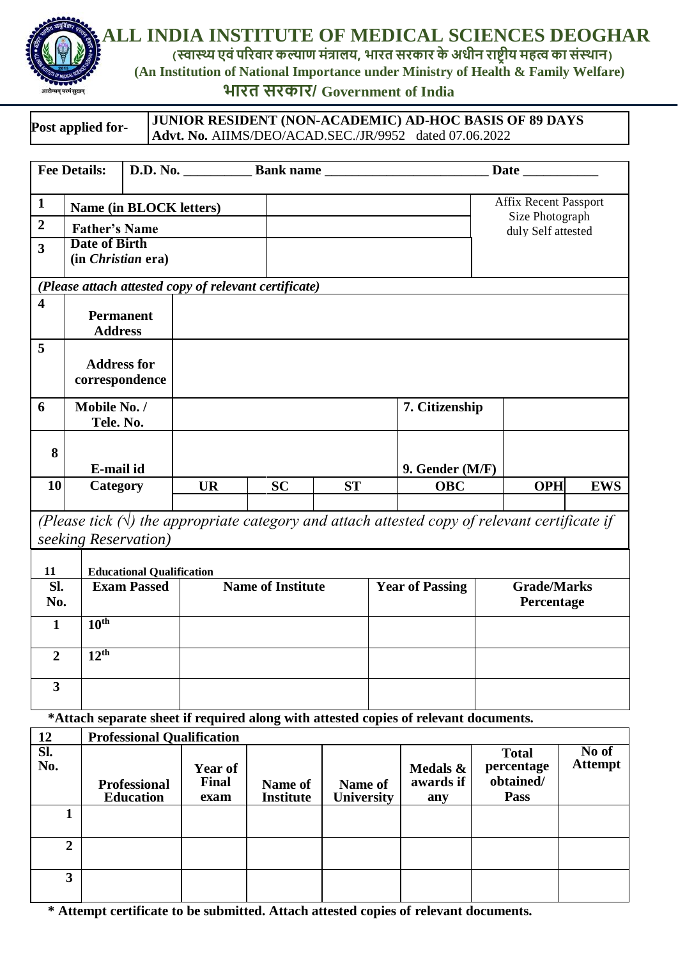

 **ALL INDIA INSTITUTE OF MEDICAL SCIENCES DEOGHAR**

**(स्वास्थ्यएवंपरिवाि कल्याण मंत्रालय, भाित सिकाि के अधीन िाष्ट्रीय महत्व का संस्थान)**

*CREARLY <b>CAN Institution of National Importance under Ministry of Health & Family Welfare* 

# **भाित सिकाि/ Government of India**

| Post applied for- | <b>JUNIOR RESIDENT (NON-ACADEMIC) AD-HOC BASIS OF 89 DAYS</b> |  |  |  |  |  |
|-------------------|---------------------------------------------------------------|--|--|--|--|--|
|                   | <b>Advt. No. AIIMS/DEO/ACAD.SEC./JR/9952</b> dated 07.06.2022 |  |  |  |  |  |

|                           | <b>Fee Details:</b>                              |                                  | D.D. No. Bank name                                    |                        |           |                                       |                                                                                                      |  |            |            |
|---------------------------|--------------------------------------------------|----------------------------------|-------------------------------------------------------|------------------------|-----------|---------------------------------------|------------------------------------------------------------------------------------------------------|--|------------|------------|
| $\mathbf{1}$              | Affix Recent Passport<br>Name (in BLOCK letters) |                                  |                                                       |                        |           |                                       |                                                                                                      |  |            |            |
| $\overline{2}$            | <b>Father's Name</b>                             |                                  |                                                       |                        |           | Size Photograph<br>duly Self attested |                                                                                                      |  |            |            |
| $\overline{\mathbf{3}}$   | <b>Date of Birth</b>                             |                                  |                                                       |                        |           |                                       |                                                                                                      |  |            |            |
|                           | (in <i>Christian</i> era)                        |                                  |                                                       |                        |           |                                       |                                                                                                      |  |            |            |
|                           |                                                  |                                  | (Please attach attested copy of relevant certificate) |                        |           |                                       |                                                                                                      |  |            |            |
| $\overline{\mathbf{4}}$   | <b>Permanent</b>                                 |                                  |                                                       |                        |           |                                       |                                                                                                      |  |            |            |
|                           | <b>Address</b>                                   |                                  |                                                       |                        |           |                                       |                                                                                                      |  |            |            |
| 5                         |                                                  |                                  |                                                       |                        |           |                                       |                                                                                                      |  |            |            |
|                           | <b>Address for</b>                               |                                  |                                                       |                        |           |                                       |                                                                                                      |  |            |            |
|                           | correspondence                                   |                                  |                                                       |                        |           |                                       |                                                                                                      |  |            |            |
| 6                         | Mobile No. /                                     |                                  |                                                       |                        |           |                                       | 7. Citizenship                                                                                       |  |            |            |
|                           | Tele. No.                                        |                                  |                                                       |                        |           |                                       |                                                                                                      |  |            |            |
| 8                         |                                                  |                                  |                                                       |                        |           |                                       |                                                                                                      |  |            |            |
|                           | E-mail id                                        |                                  |                                                       |                        |           |                                       | 9. Gender (M/F)                                                                                      |  |            |            |
| 10                        | Category                                         |                                  | <b>UR</b>                                             | <b>SC</b>              | <b>ST</b> |                                       | <b>OBC</b>                                                                                           |  | <b>OPH</b> | <b>EWS</b> |
|                           |                                                  |                                  |                                                       |                        |           |                                       | (Please tick $(\nabla)$ the appropriate category and attach attested copy of relevant certificate if |  |            |            |
|                           | seeking Reservation)                             |                                  |                                                       |                        |           |                                       |                                                                                                      |  |            |            |
|                           |                                                  |                                  |                                                       |                        |           |                                       |                                                                                                      |  |            |            |
| 11<br>SI.                 |                                                  | <b>Educational Qualification</b> |                                                       |                        |           |                                       |                                                                                                      |  |            |            |
| <b>Exam Passed</b><br>No. |                                                  | <b>Name of Institute</b>         |                                                       | <b>Year of Passing</b> |           |                                       | <b>Grade/Marks</b><br>Percentage                                                                     |  |            |            |
| $\mathbf{1}$              | 10 <sup>th</sup>                                 |                                  |                                                       |                        |           |                                       |                                                                                                      |  |            |            |
|                           |                                                  |                                  |                                                       |                        |           |                                       |                                                                                                      |  |            |            |
| $\overline{2}$            | 12 <sup>th</sup>                                 |                                  |                                                       |                        |           |                                       |                                                                                                      |  |            |            |
| $\overline{\mathbf{3}}$   |                                                  |                                  |                                                       |                        |           |                                       |                                                                                                      |  |            |            |
|                           |                                                  |                                  |                                                       |                        |           |                                       |                                                                                                      |  |            |            |

**\*Attach separate sheet if required along with attested copies of relevant documents.**

| 12         | <b>Professional Qualification</b>       |                                        |                             |                       |                              |                                                        |                         |
|------------|-----------------------------------------|----------------------------------------|-----------------------------|-----------------------|------------------------------|--------------------------------------------------------|-------------------------|
| Sl.<br>No. | <b>Professional</b><br><b>Education</b> | <b>Year of</b><br><b>Final</b><br>exam | Name of<br><b>Institute</b> | Name of<br>University | Medals &<br>awards if<br>any | <b>Total</b><br>percentage<br>obtained/<br><b>Pass</b> | No of<br><b>Attempt</b> |
|            |                                         |                                        |                             |                       |                              |                                                        |                         |
| 2          |                                         |                                        |                             |                       |                              |                                                        |                         |
| 3          |                                         |                                        |                             |                       |                              |                                                        |                         |

**\* Attempt certificate to be submitted. Attach attested copies of relevant documents.**